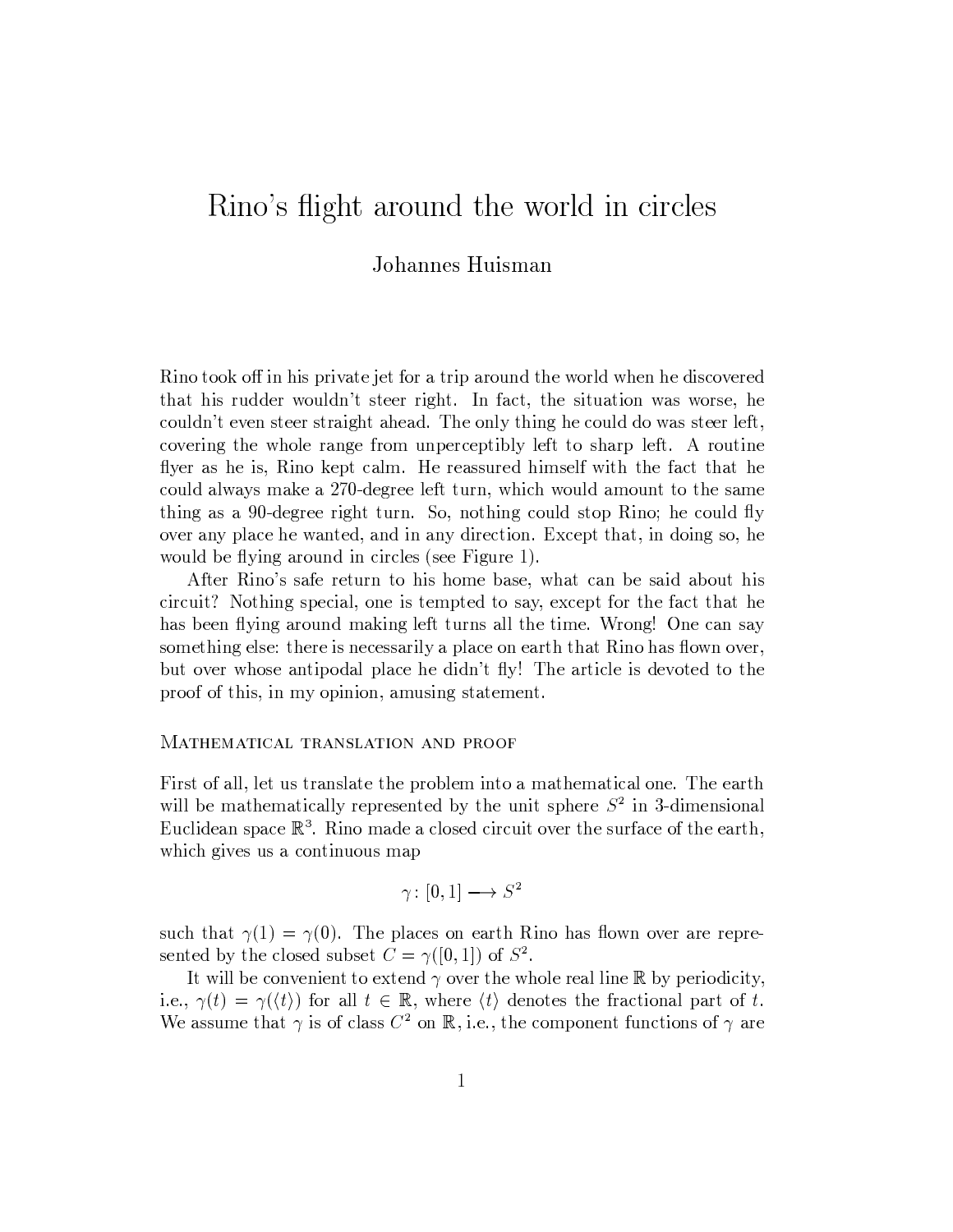## Rino's flight around the world in circles

## Johannes Huisman

Rino took off in his private jet for a trip around the world when he discovered that his rudder wouldn't steer right. In fact, the situation was worse, he couldn't even steer straight ahead. The only thing he could do was steer left, covering the whole range from unperceptibly left to sharp left. A routine flyer as he is, Rino kept calm. He reassured himself with the fact that he could always make a 270-degree left turn, which would amount to the same thing as a 90-degree right turn. So, nothing could stop Rino; he could fly over any place he wanted, and in any direction. Except that, in doing so, he would be flying around in circles (see Figure 1).

After Rino's safe return to his home base, what can be said about his circuit? Nothing special, one is tempted to say, except for the fact that he has been flying around making left turns all the time. Wrong! One can say something else: there is necessarily a place on earth that Rino has flown over, but over whose antipodal place he didn't fly! The article is devoted to the proof of this, in my opinion, amusing statement.

## MATHEMATICAL TRANSLATION AND PROOF

First of all, let us translate the problem into a mathematical one. The earth will be mathematically represented by the unit sphere  $S<sup>2</sup>$  in 3-dimensional Euclidean space  $\mathbb{R}^3$ . Rino made a closed circuit over the surface of the earth, which gives us a continuous map

$$
\gamma\colon [0,1]\longrightarrow S^2
$$

such that  $\gamma(1) = \gamma(0)$ . The places on earth Rino has flown over are represented by the closed subset  $C = \gamma([0,1])$  of  $S^2$ .

It will be convenient to extend  $\gamma$  over the whole real line R by periodicity, i.e.,  $\gamma(t) = \gamma(\langle t \rangle)$  for all  $t \in \mathbb{R}$ , where  $\langle t \rangle$  denotes the fractional part of t. We assume that  $\gamma$  is of class  $C^2$  on R, i.e., the component functions of  $\gamma$  are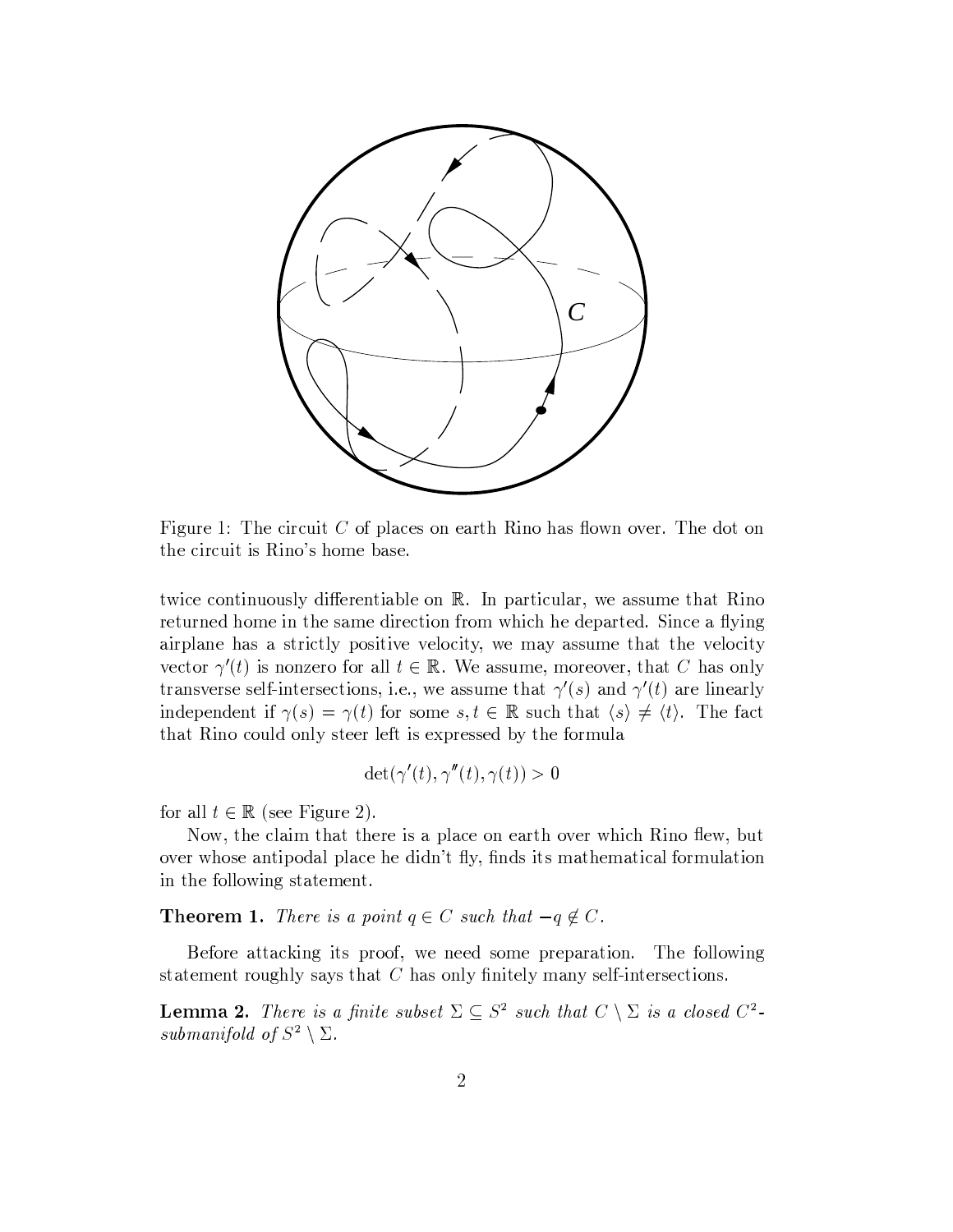

Figure 1: The circuit  $C$  of places on earth Rino has flown over. The dot on the circuit is Rino's home base.

twice continuously differentiable on R. In particular, we assume that Rino returned home in the same direction from which he departed. Since a flying airplane has a strictly positive velocity, we may assume that the velocity vector  $\gamma'(t)$  is nonzero for all  $t \in \mathbb{R}$ . We assume, moreover, that C has only transverse self-intersections, i.e., we assume that  $\gamma'(s)$  and  $\gamma'(t)$  are linearly independent if  $\gamma(s) = \gamma(t)$  for some  $s, t \in \mathbb{R}$  such that  $\langle s \rangle \neq \langle t \rangle$ . The fact that Rino could only steer left is expressed by the formula

$$
\det(\gamma'(t), \gamma''(t), \gamma(t)) > 0
$$

for all  $t \in \mathbb{R}$  (see Figure 2).

Now, the claim that there is a place on earth over which Rino flew, but over whose antipodal place he didn't fly, finds its mathematical formulation in the following statement.

**Theorem 1.** There is a point  $q \in C$  such that  $-q \notin C$ .

Before attacking its proof, we need some preparation. The following statement roughly says that  $C$  has only finitely many self-intersections.

**Lemma 2.** There is a finite subset  $\Sigma \subseteq S^2$  such that  $C \setminus \Sigma$  is a closed  $C^2$ submanifold of  $S^2 \setminus \Sigma$ .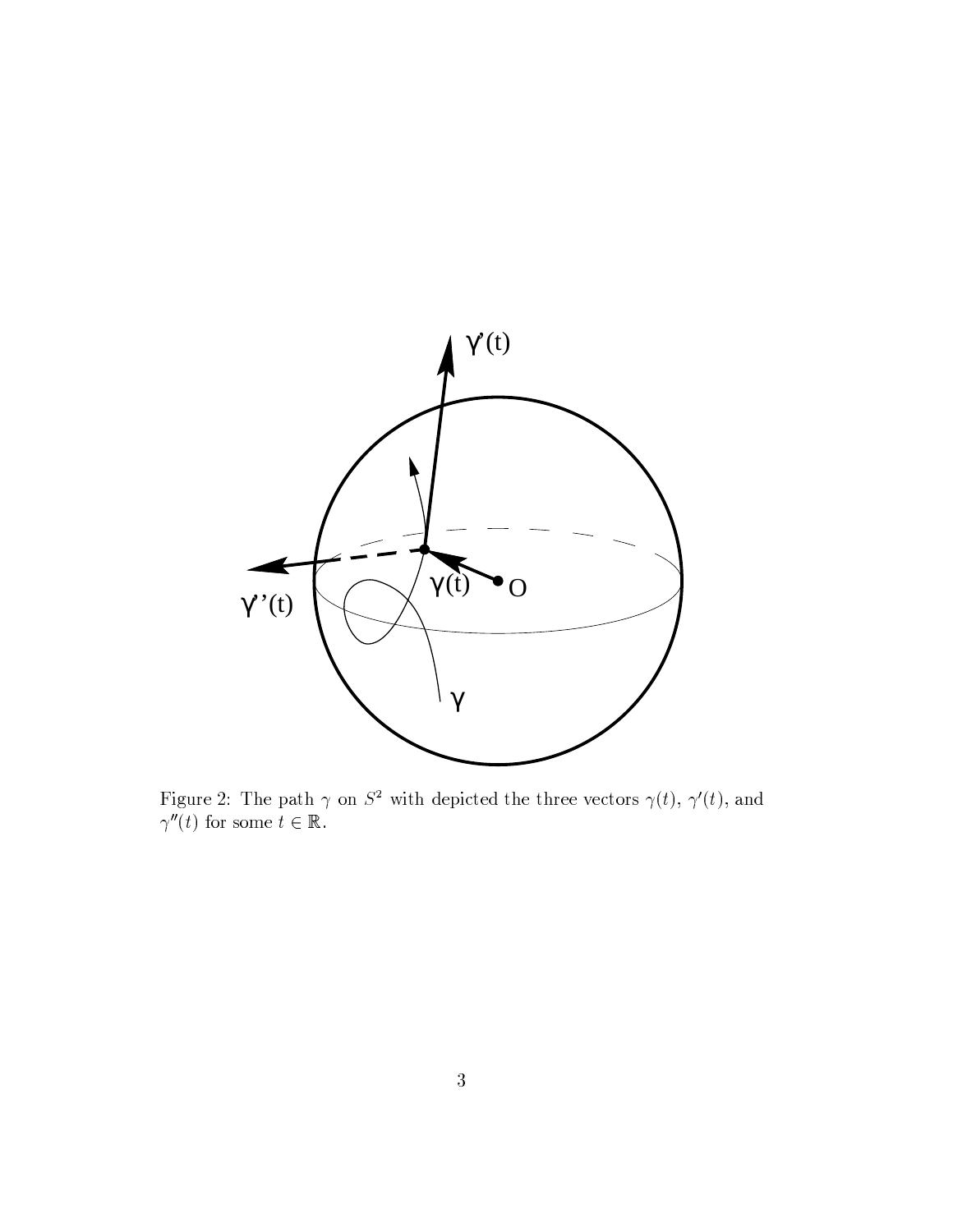

Figure 2: The path  $\gamma$  on  $S^2$  with depicted the three vectors  $\gamma(t)$ ,  $\gamma'(t)$ , and  $\gamma''(t)$  for some  $t \in \mathbb{R}$ .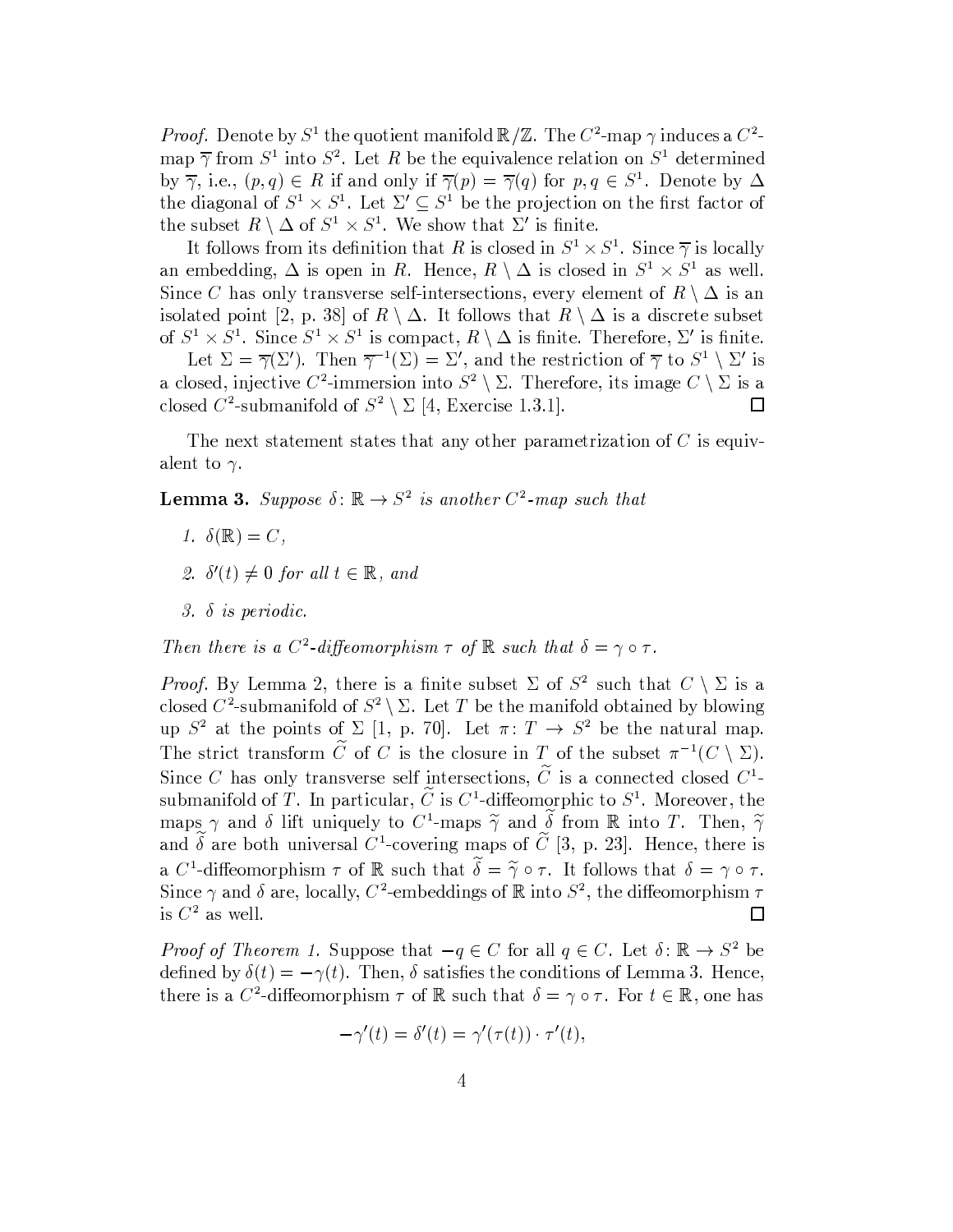*Proof.* Denote by  $S^1$  the quotient manifold  $\mathbb{R}/\mathbb{Z}$ . The  $C^2$ -map  $\gamma$  induces a  $C^2$ map  $\overline{\gamma}$  from  $S^1$  into  $S^2$ . Let R be the equivalence relation on  $S^1$  determined by  $\overline{\gamma}$ , i.e.,  $(p,q) \in R$  if and only if  $\overline{\gamma}(p) = \overline{\gamma}(q)$  for  $p,q \in S^1$ . Denote by  $\Delta$ the diagonal of  $S^1 \times S^1$ . Let  $\Sigma' \subseteq S^1$  be the projection on the first factor of the subset  $R \setminus \Delta$  of  $S^1 \times S^1$ . We show that  $\Sigma'$  is finite.

It follows from its definition that R is closed in  $S^1 \times S^1$ . Since  $\overline{\gamma}$  is locally an embedding,  $\Delta$  is open in R. Hence,  $R \setminus \Delta$  is closed in  $S^1 \times S^1$  as well. Since C has only transverse self-intersections, every element of  $R \setminus \Delta$  is an isolated point [2, p. 38] of  $R \setminus \Delta$ . It follows that  $R \setminus \Delta$  is a discrete subset of  $S^1 \times S^1$ . Since  $S^1 \times S^1$  is compact,  $R \setminus \Delta$  is finite. Therefore,  $\Sigma'$  is finite. Let  $\Sigma = \overline{\gamma}(\Sigma')$ . Then  $\overline{\gamma}^{-1}(\Sigma) = \Sigma'$ , and the restriction of  $\overline{\gamma}$  to  $S^1 \setminus \Sigma'$  is

a closed, injective  $C^2$ -immersion into  $S^2 \setminus \Sigma$ . Therefore, its image  $C \setminus \Sigma$  is a closed  $C^2$ -submanifold of  $S^2 \setminus \Sigma$  [4, Exercise 1.3.1]. □

The next statement states that any other parametrization of  $C$  is equivalent to  $\gamma$ .

**Lemma 3.** Suppose  $\delta: \mathbb{R} \to S^2$  is another  $C^2$ -map such that

- 1.  $\delta(\mathbb{R}) = C$ ,
- 2.  $\delta'(t) \neq 0$  for all  $t \in \mathbb{R}$ , and
- $3. \delta$  is periodic.

Then there is a  $C^2$ -diffeomorphism  $\tau$  of  $\mathbb R$  such that  $\delta = \gamma \circ \tau$ .

*Proof.* By Lemma 2, there is a finite subset  $\Sigma$  of  $S^2$  such that  $C \setminus \Sigma$  is a closed  $C^2$ -submanifold of  $S^2 \setminus \Sigma$ . Let T be the manifold obtained by blowing up  $S^2$  at the points of  $\Sigma$  [1, p. 70]. Let  $\pi: T \to S^2$  be the natural map. The strict transform  $\tilde{C}$  of C is the closure in T of the subset  $\pi^{-1}(C \setminus \Sigma)$ . Since C has only transverse self intersections,  $\tilde{C}$  is a connected closed  $C^1$ submanifold of T. In particular,  $\tilde{C}$  is  $C^1$ -diffeomorphic to  $S^1$ . Moreover, the maps  $\gamma$  and  $\delta$  lift uniquely to  $C^1$ -maps  $\widetilde{\gamma}$  and  $\widetilde{\delta}$  from  $\mathbb R$  into T. Then,  $\widetilde{\gamma}$ and  $\delta$  are both universal C<sup>1</sup>-covering maps of C [3, p. 23]. Hence, there is a C<sup>1</sup>-diffeomorphism  $\tau$  of R such that  $\widetilde{\delta} = \widetilde{\gamma} \circ \tau$ . It follows that  $\delta = \gamma \circ \tau$ . Since  $\gamma$  and  $\delta$  are, locally,  $C^2$ -embeddings of R into  $S^2$ , the diffeomorphism  $\tau$ is  $C^2$  as well.  $\Box$ 

*Proof of Theorem 1.* Suppose that  $-q \in C$  for all  $q \in C$ . Let  $\delta: \mathbb{R} \to S^2$  be defined by  $\delta(t) = -\gamma(t)$ . Then,  $\delta$  satisfies the conditions of Lemma 3. Hence, there is a  $C^2$ -diffeomorphism  $\tau$  of  $\mathbb R$  such that  $\delta = \gamma \circ \tau$ . For  $t \in \mathbb R$ , one has

$$
-\gamma'(t) = \delta'(t) = \gamma'(\tau(t)) \cdot \tau'(t),
$$